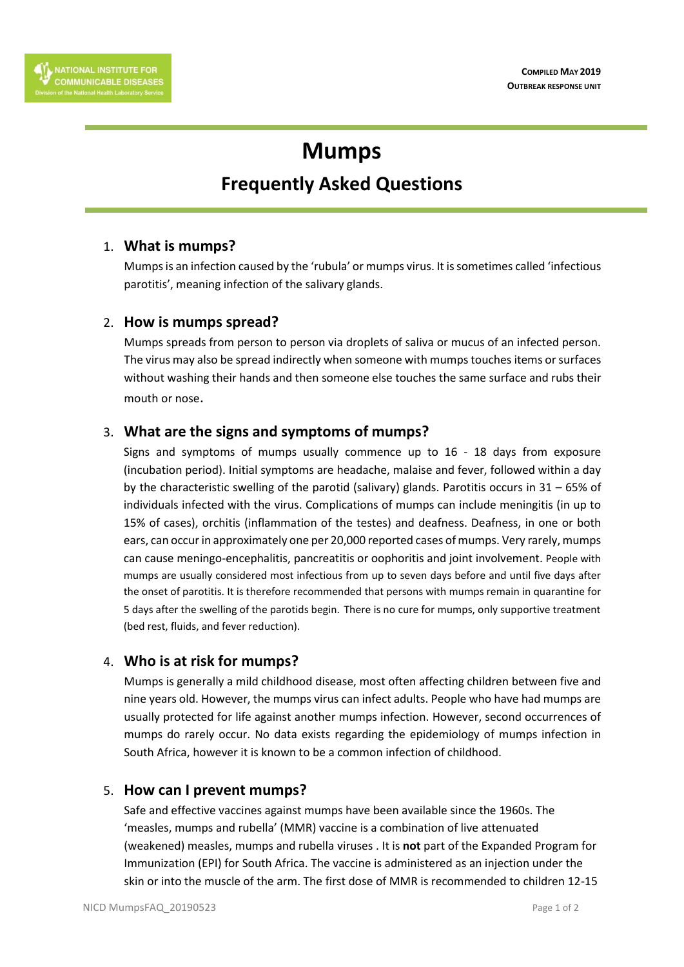# **Mumps**

## **Frequently Asked Questions**

#### 1. **What is mumps?**

Mumps is an infection caused by the 'rubula' or mumps virus. It is sometimes called 'infectious parotitis', meaning infection of the salivary glands.

#### 2. **How is mumps spread?**

Mumps spreads from person to person via droplets of saliva or mucus of an infected person. The virus may also be spread indirectly when someone with mumps touches items or surfaces without washing their hands and then someone else touches the same surface and rubs their mouth or nose.

#### 3. **What are the signs and symptoms of mumps?**

Signs and symptoms of mumps usually commence up to 16 - 18 days from exposure (incubation period). Initial symptoms are headache, malaise and fever, followed within a day by the characteristic swelling of the parotid (salivary) glands. Parotitis occurs in 31 – 65% of individuals infected with the virus. Complications of mumps can include meningitis (in up to 15% of cases), orchitis (inflammation of the testes) and deafness. Deafness, in one or both ears, can occur in approximately one per 20,000 reported cases of mumps. Very rarely, mumps can cause meningo-encephalitis, pancreatitis or oophoritis and joint involvement. People with mumps are usually considered most infectious from up to seven days before and until five days after the onset of parotitis. It is therefore recommended that persons with mumps remain in quarantine for 5 days after the swelling of the parotids begin. There is no cure for mumps, only supportive treatment (bed rest, fluids, and fever reduction).

#### 4. **Who is at risk for mumps?**

Mumps is generally a mild childhood disease, most often affecting children between five and nine years old. However, the mumps virus can infect adults. People who have had mumps are usually protected for life against another mumps infection. However, second occurrences of mumps do rarely occur. No data exists regarding the epidemiology of mumps infection in South Africa, however it is known to be a common infection of childhood.

#### 5. **How can I prevent mumps?**

Safe and effective vaccines against mumps have been available since the 1960s. The 'measles, mumps and rubella' (MMR) vaccine is a combination of live attenuated (weakened) measles, mumps and rubella viruses . It is **not** part of the Expanded Program for Immunization (EPI) for South Africa. The vaccine is administered as an injection under the skin or into the muscle of the arm. The first dose of MMR is recommended to children 12-15